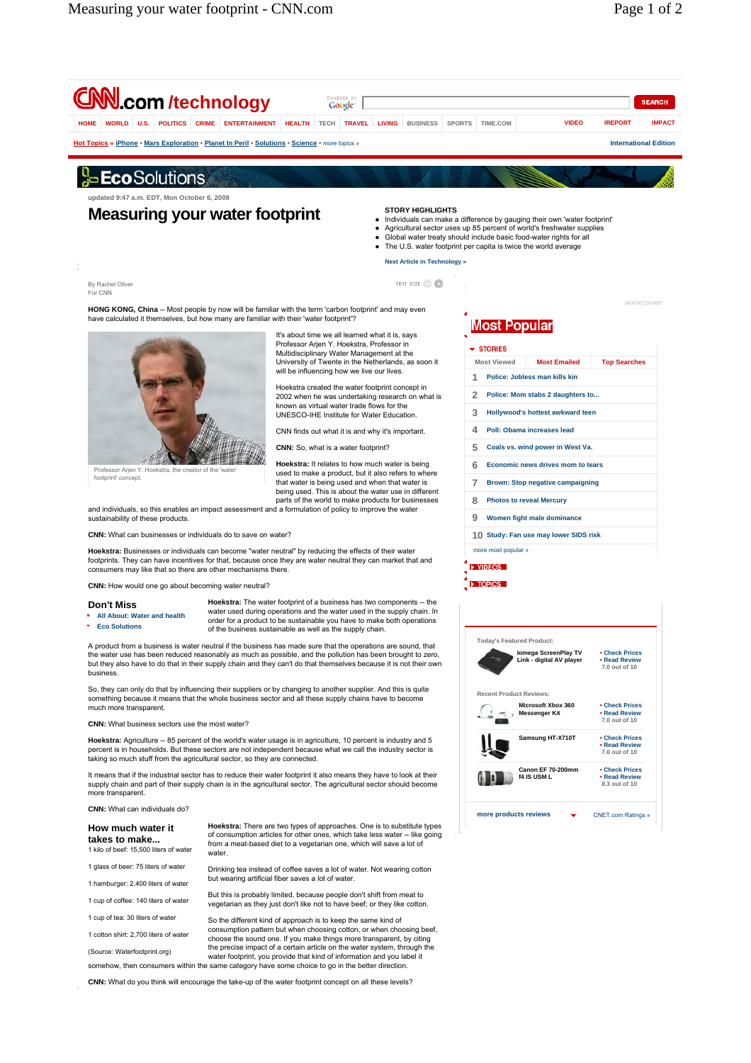

1 cup of coffee: 140 liters of water

1 cup of tea: 30 liters of water

1 cotton shirt: 2,700 liters of water

(Source: Waterfootprint.org)

But this is probably limited, because people don't shift from meat to vegetarian as they just don't like not to have beef; or they like cotton.

So the different kind of approach is to keep the same kind of consumption pattern but when choosing cotton, or when choosing beef, choose the sound one. If you make things more transparent, by citing the precise impact of a certain article on the water system, through the water footprint, you provide that kind of information and you label it somehow, then consumers within the same category have some choice to go in the better direction.

**CNN:** What do you think will encourage the take-up of the water footprint concept on all these levels?